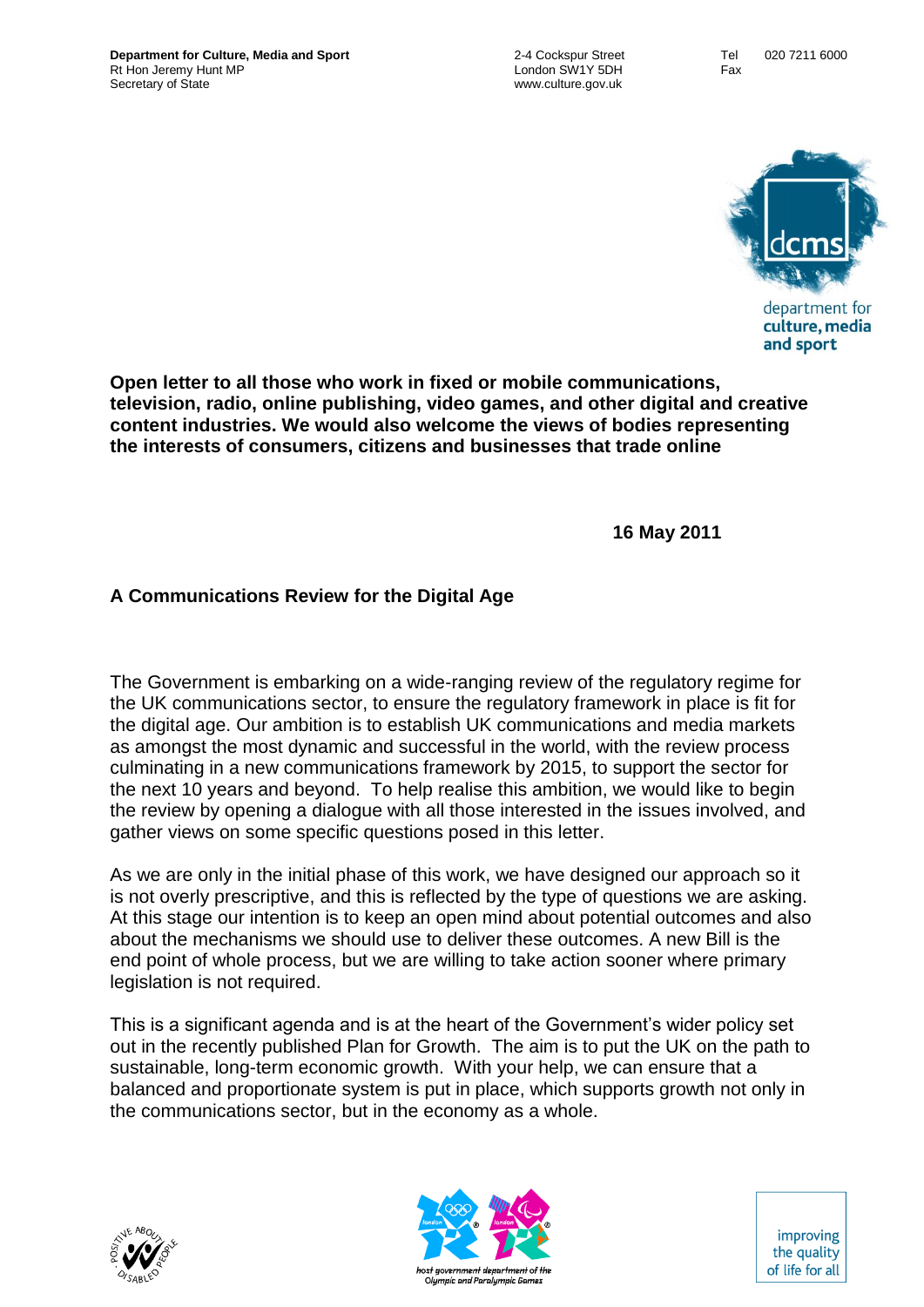

department for culture, media and sport

**Open letter to all those who work in fixed or mobile communications, television, radio, online publishing, video games, and other digital and creative content industries. We would also welcome the views of bodies representing the interests of consumers, citizens and businesses that trade online**

**16 May 2011**

# **A Communications Review for the Digital Age**

The Government is embarking on a wide-ranging review of the regulatory regime for the UK communications sector, to ensure the regulatory framework in place is fit for the digital age. Our ambition is to establish UK communications and media markets as amongst the most dynamic and successful in the world, with the review process culminating in a new communications framework by 2015, to support the sector for the next 10 years and beyond. To help realise this ambition, we would like to begin the review by opening a dialogue with all those interested in the issues involved, and gather views on some specific questions posed in this letter.

As we are only in the initial phase of this work, we have designed our approach so it is not overly prescriptive, and this is reflected by the type of questions we are asking. At this stage our intention is to keep an open mind about potential outcomes and also about the mechanisms we should use to deliver these outcomes. A new Bill is the end point of whole process, but we are willing to take action sooner where primary legislation is not required.

This is a significant agenda and is at the heart of the Government's wider policy set out in the recently published Plan for Growth. The aim is to put the UK on the path to sustainable, long-term economic growth. With your help, we can ensure that a balanced and proportionate system is put in place, which supports growth not only in the communications sector, but in the economy as a whole.





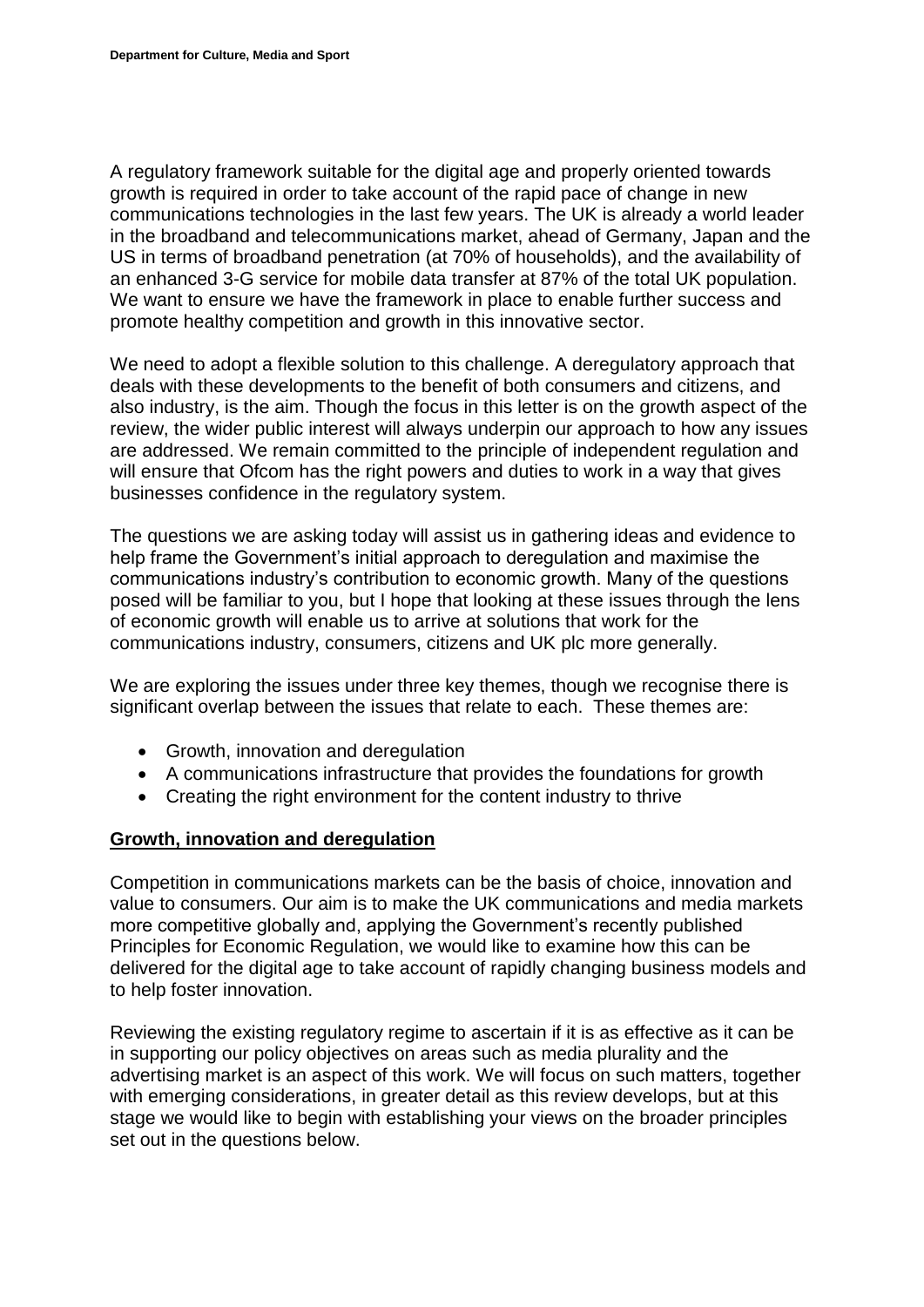A regulatory framework suitable for the digital age and properly oriented towards growth is required in order to take account of the rapid pace of change in new communications technologies in the last few years. The UK is already a world leader in the broadband and telecommunications market, ahead of Germany, Japan and the US in terms of broadband penetration (at 70% of households), and the availability of an enhanced 3-G service for mobile data transfer at 87% of the total UK population. We want to ensure we have the framework in place to enable further success and promote healthy competition and growth in this innovative sector.

We need to adopt a flexible solution to this challenge. A deregulatory approach that deals with these developments to the benefit of both consumers and citizens, and also industry, is the aim. Though the focus in this letter is on the growth aspect of the review, the wider public interest will always underpin our approach to how any issues are addressed. We remain committed to the principle of independent regulation and will ensure that Ofcom has the right powers and duties to work in a way that gives businesses confidence in the regulatory system.

The questions we are asking today will assist us in gathering ideas and evidence to help frame the Government's initial approach to deregulation and maximise the communications industry's contribution to economic growth. Many of the questions posed will be familiar to you, but I hope that looking at these issues through the lens of economic growth will enable us to arrive at solutions that work for the communications industry, consumers, citizens and UK plc more generally.

We are exploring the issues under three key themes, though we recognise there is significant overlap between the issues that relate to each. These themes are:

- Growth, innovation and deregulation
- A communications infrastructure that provides the foundations for growth
- Creating the right environment for the content industry to thrive

### **Growth, innovation and deregulation**

Competition in communications markets can be the basis of choice, innovation and value to consumers. Our aim is to make the UK communications and media markets more competitive globally and, applying the Government's recently published Principles for Economic Regulation, we would like to examine how this can be delivered for the digital age to take account of rapidly changing business models and to help foster innovation.

Reviewing the existing regulatory regime to ascertain if it is as effective as it can be in supporting our policy objectives on areas such as media plurality and the advertising market is an aspect of this work. We will focus on such matters, together with emerging considerations, in greater detail as this review develops, but at this stage we would like to begin with establishing your views on the broader principles set out in the questions below.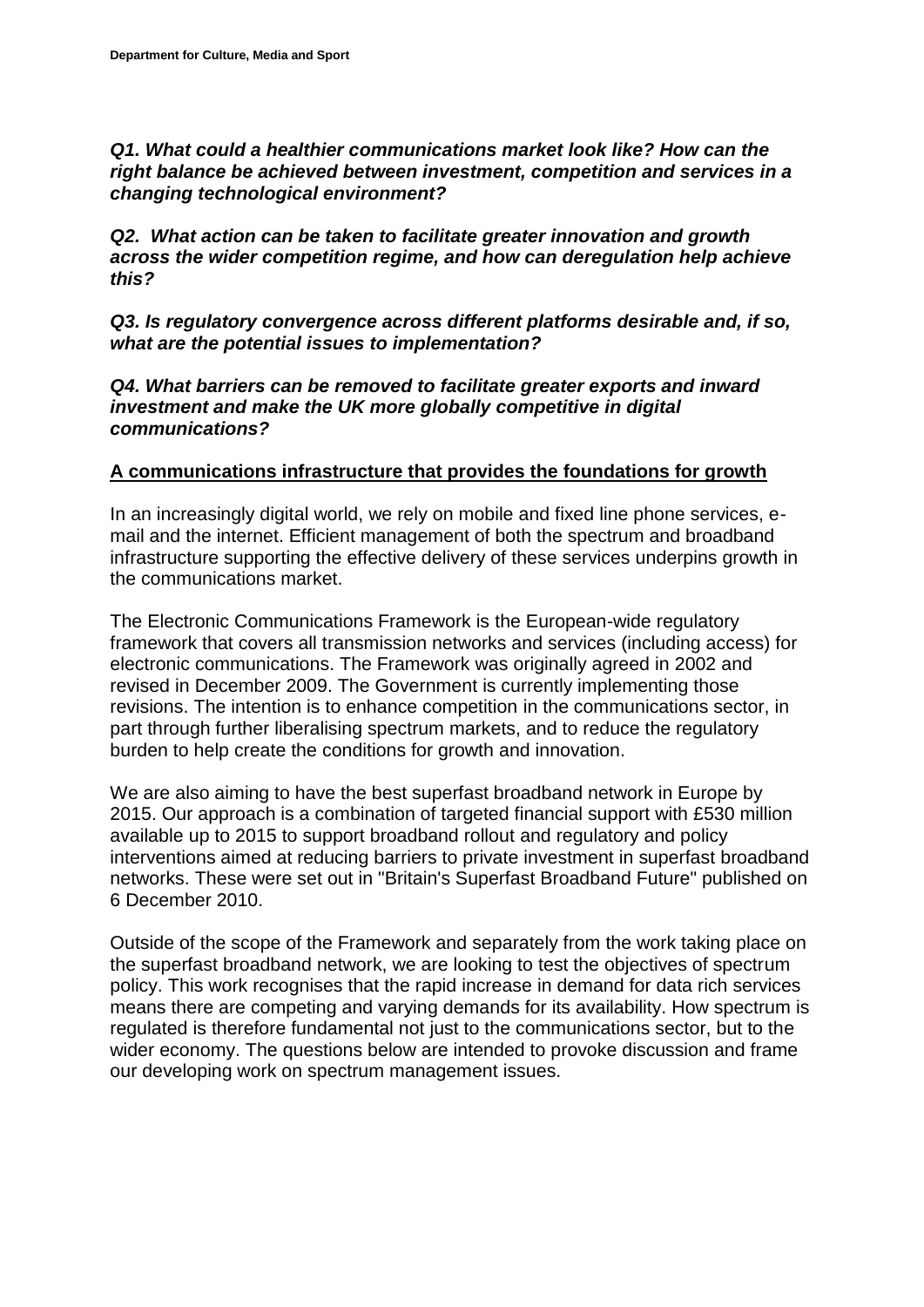*Q1. What could a healthier communications market look like? How can the right balance be achieved between investment, competition and services in a changing technological environment?*

*Q2. What action can be taken to facilitate greater innovation and growth across the wider competition regime, and how can deregulation help achieve this?*

*Q3. Is regulatory convergence across different platforms desirable and, if so, what are the potential issues to implementation?*

*Q4. What barriers can be removed to facilitate greater exports and inward investment and make the UK more globally competitive in digital communications?*

## **A communications infrastructure that provides the foundations for growth**

In an increasingly digital world, we rely on mobile and fixed line phone services, email and the internet. Efficient management of both the spectrum and broadband infrastructure supporting the effective delivery of these services underpins growth in the communications market.

The Electronic Communications Framework is the European-wide regulatory framework that covers all transmission networks and services (including access) for electronic communications. The Framework was originally agreed in 2002 and revised in December 2009. The Government is currently implementing those revisions. The intention is to enhance competition in the communications sector, in part through further liberalising spectrum markets, and to reduce the regulatory burden to help create the conditions for growth and innovation.

We are also aiming to have the best superfast broadband network in Europe by 2015. Our approach is a combination of targeted financial support with £530 million available up to 2015 to support broadband rollout and regulatory and policy interventions aimed at reducing barriers to private investment in superfast broadband networks. These were set out in "Britain's Superfast Broadband Future" published on 6 December 2010.

Outside of the scope of the Framework and separately from the work taking place on the superfast broadband network, we are looking to test the objectives of spectrum policy. This work recognises that the rapid increase in demand for data rich services means there are competing and varying demands for its availability. How spectrum is regulated is therefore fundamental not just to the communications sector, but to the wider economy. The questions below are intended to provoke discussion and frame our developing work on spectrum management issues.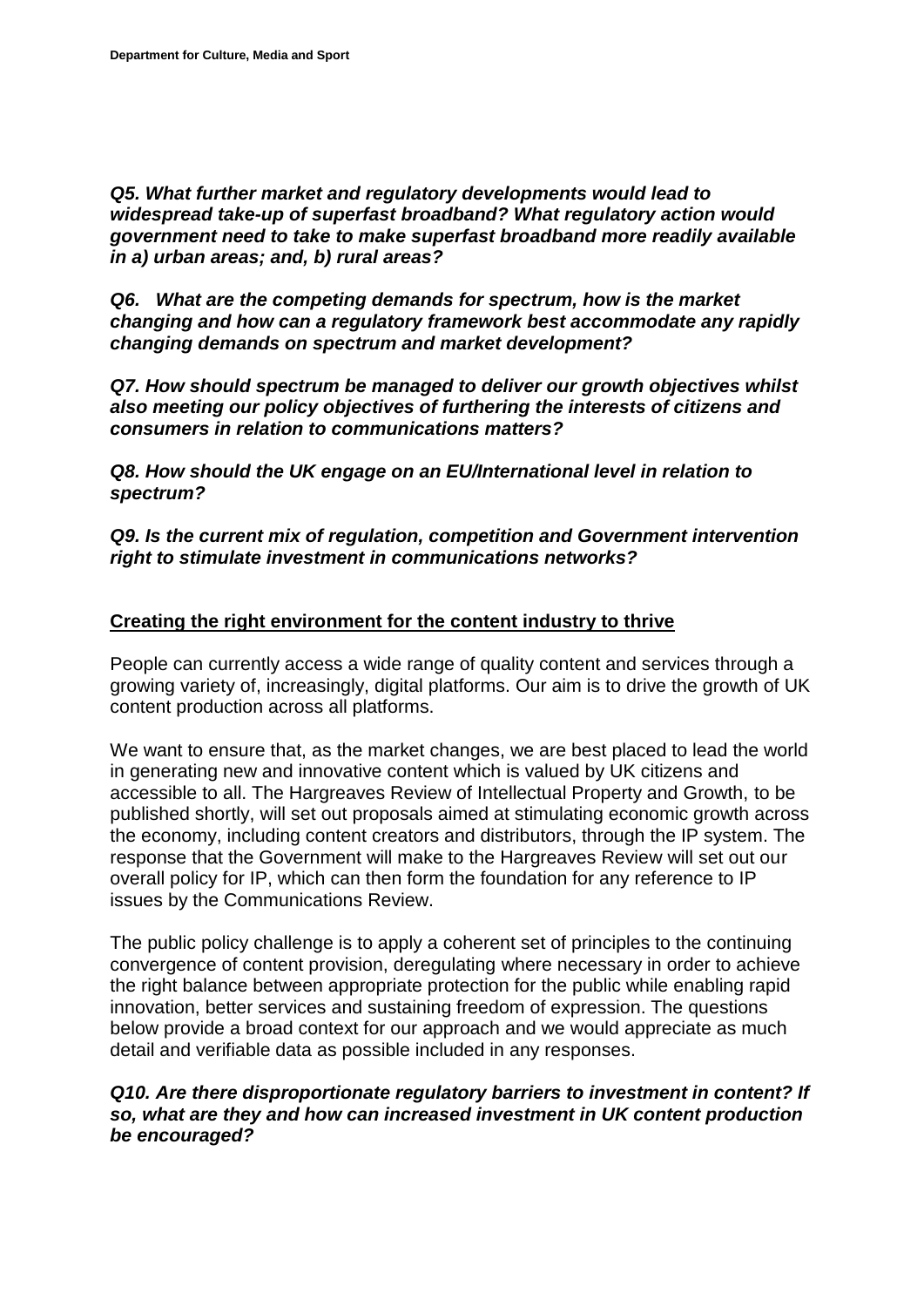*Q5. What further market and regulatory developments would lead to widespread take-up of superfast broadband? What regulatory action would government need to take to make superfast broadband more readily available in a) urban areas; and, b) rural areas?*

*Q6. What are the competing demands for spectrum, how is the market changing and how can a regulatory framework best accommodate any rapidly changing demands on spectrum and market development?*

*Q7. How should spectrum be managed to deliver our growth objectives whilst also meeting our policy objectives of furthering the interests of citizens and consumers in relation to communications matters?*

*Q8. How should the UK engage on an EU/International level in relation to spectrum?*

*Q9. Is the current mix of regulation, competition and Government intervention right to stimulate investment in communications networks?*

### **Creating the right environment for the content industry to thrive**

People can currently access a wide range of quality content and services through a growing variety of, increasingly, digital platforms. Our aim is to drive the growth of UK content production across all platforms.

We want to ensure that, as the market changes, we are best placed to lead the world in generating new and innovative content which is valued by UK citizens and accessible to all. The Hargreaves Review of Intellectual Property and Growth, to be published shortly, will set out proposals aimed at stimulating economic growth across the economy, including content creators and distributors, through the IP system. The response that the Government will make to the Hargreaves Review will set out our overall policy for IP, which can then form the foundation for any reference to IP issues by the Communications Review.

The public policy challenge is to apply a coherent set of principles to the continuing convergence of content provision, deregulating where necessary in order to achieve the right balance between appropriate protection for the public while enabling rapid innovation, better services and sustaining freedom of expression. The questions below provide a broad context for our approach and we would appreciate as much detail and verifiable data as possible included in any responses.

#### *Q10. Are there disproportionate regulatory barriers to investment in content? If so, what are they and how can increased investment in UK content production be encouraged?*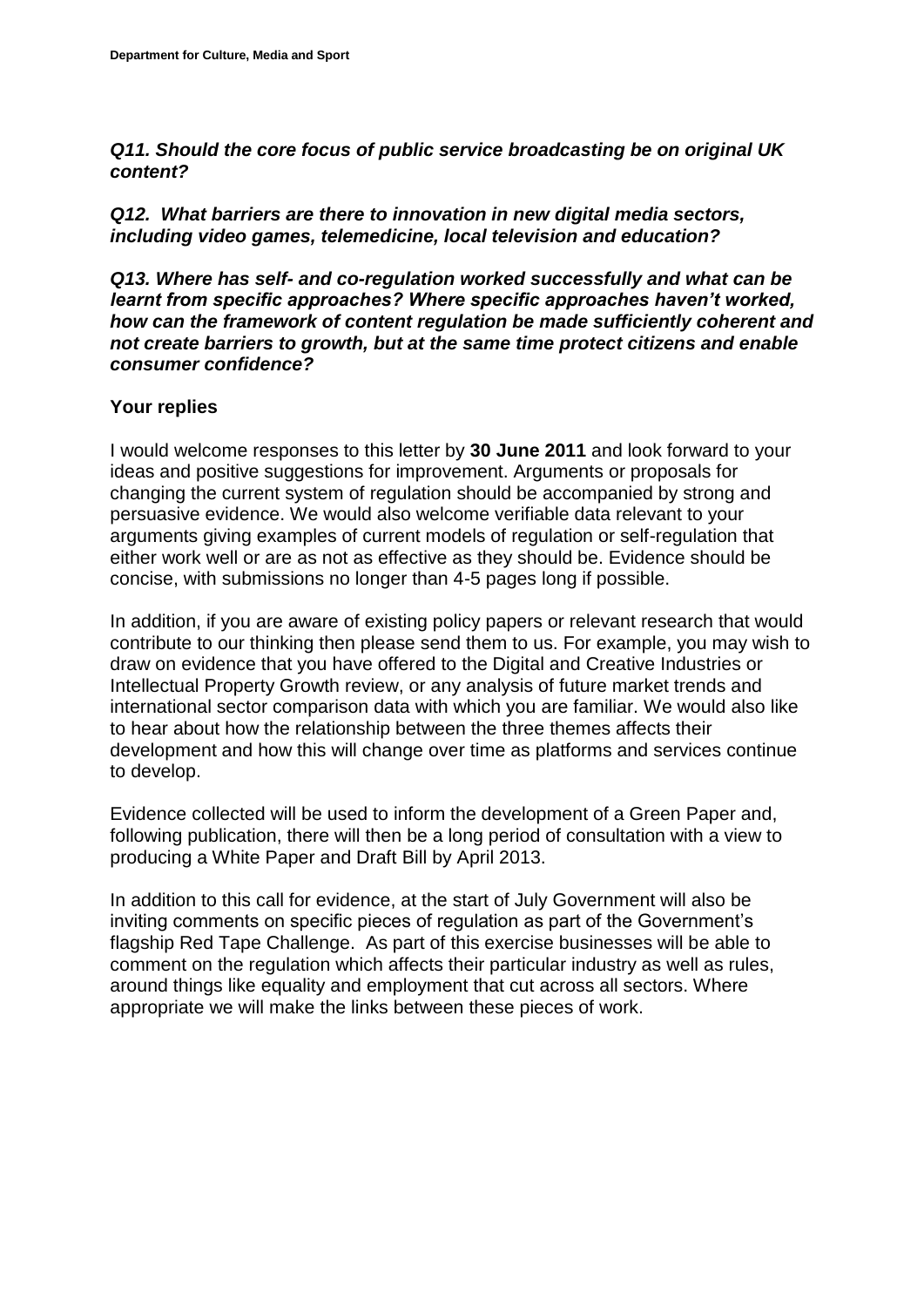*Q11. Should the core focus of public service broadcasting be on original UK content?*

*Q12. What barriers are there to innovation in new digital media sectors, including video games, telemedicine, local television and education?* 

*Q13. Where has self- and co-regulation worked successfully and what can be learnt from specific approaches? Where specific approaches haven't worked, how can the framework of content regulation be made sufficiently coherent and not create barriers to growth, but at the same time protect citizens and enable consumer confidence?* 

### **Your replies**

I would welcome responses to this letter by **30 June 2011** and look forward to your ideas and positive suggestions for improvement. Arguments or proposals for changing the current system of regulation should be accompanied by strong and persuasive evidence. We would also welcome verifiable data relevant to your arguments giving examples of current models of regulation or self-regulation that either work well or are as not as effective as they should be. Evidence should be concise, with submissions no longer than 4-5 pages long if possible.

In addition, if you are aware of existing policy papers or relevant research that would contribute to our thinking then please send them to us. For example, you may wish to draw on evidence that you have offered to the Digital and Creative Industries or Intellectual Property Growth review, or any analysis of future market trends and international sector comparison data with which you are familiar. We would also like to hear about how the relationship between the three themes affects their development and how this will change over time as platforms and services continue to develop.

Evidence collected will be used to inform the development of a Green Paper and, following publication, there will then be a long period of consultation with a view to producing a White Paper and Draft Bill by April 2013.

In addition to this call for evidence, at the start of July Government will also be inviting comments on specific pieces of regulation as part of the Government's flagship Red Tape Challenge. As part of this exercise businesses will be able to comment on the regulation which affects their particular industry as well as rules, around things like equality and employment that cut across all sectors. Where appropriate we will make the links between these pieces of work.